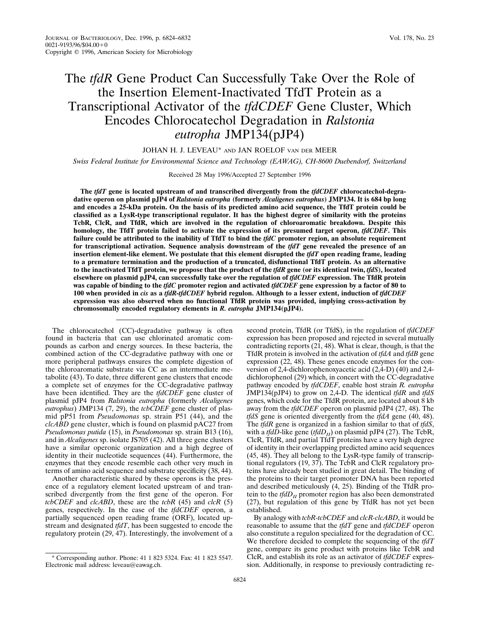## The *tfdR* Gene Product Can Successfully Take Over the Role of the Insertion Element-Inactivated TfdT Protein as a Transcriptional Activator of the *tfdCDEF* Gene Cluster, Which Encodes Chlorocatechol Degradation in *Ralstonia eutropha* JMP134(pJP4)

JOHAN H. J. LEVEAU\* AND JAN ROELOF VAN DER MEER

*Swiss Federal Institute for Environmental Science and Technology (EAWAG), CH-8600 Duebendorf, Switzerland*

Received 28 May 1996/Accepted 27 September 1996

**The** *tfdT* **gene is located upstream of and transcribed divergently from the** *tfdCDEF* **chlorocatechol-degradative operon on plasmid pJP4 of** *Ralstonia eutropha* **(formerly** *Alcaligenes eutrophus***) JMP134. It is 684 bp long and encodes a 25-kDa protein. On the basis of its predicted amino acid sequence, the TfdT protein could be classified as a LysR-type transcriptional regulator. It has the highest degree of similarity with the proteins TcbR, ClcR, and TfdR, which are involved in the regulation of chloroaromatic breakdown. Despite this homology, the TfdT protein failed to activate the expression of its presumed target operon,** *tfdCDEF***. This failure could be attributed to the inability of TfdT to bind the** *tfdC* **promoter region, an absolute requirement for transcriptional activation. Sequence analysis downstream of the** *tfdT* **gene revealed the presence of an insertion element-like element. We postulate that this element disrupted the** *tfdT* **open reading frame, leading to a premature termination and the production of a truncated, disfunctional TfdT protein. As an alternative to the inactivated TfdT protein, we propose that the product of the** *tfdR* **gene (or its identical twin,** *tfdS***), located elsewhere on plasmid pJP4, can successfully take over the regulation of** *tfdCDEF* **expression. The TfdR protein was capable of binding to the** *tfdC* **promoter region and activated** *tfdCDEF* **gene expression by a factor of 80 to 100 when provided in** *cis* **as a** *tfdR-tfdCDEF* **hybrid regulon. Although to a lesser extent, induction of** *tfdCDEF* **expression was also observed when no functional TfdR protein was provided, implying cross-activation by chromosomally encoded regulatory elements in** *R. eutropha* **JMP134(pJP4).**

The chlorocatechol (CC)-degradative pathway is often found in bacteria that can use chlorinated aromatic compounds as carbon and energy sources. In these bacteria, the combined action of the CC-degradative pathway with one or more peripheral pathways ensures the complete digestion of the chloroaromatic substrate via CC as an intermediate metabolite (43). To date, three different gene clusters that encode a complete set of enzymes for the CC-degradative pathway have been identified. They are the *tfdCDEF* gene cluster of plasmid pJP4 from *Ralstonia eutropha* (formerly *Alcaligenes eutrophus*) JMP134 (7, 29), the *tcbCDEF* gene cluster of plasmid pP51 from *Pseudomonas* sp. strain P51 (44), and the *clcABD* gene cluster, which is found on plasmid pAC27 from *Pseudomonas putida* (15), in *Pseudomonas* sp. strain B13 (16), and in *Alcaligenes* sp. isolate JS705 (42). All three gene clusters have a similar operonic organization and a high degree of identity in their nucleotide sequences (44). Furthermore, the enzymes that they encode resemble each other very much in terms of amino acid sequence and substrate specificity (38, 44).

Another characteristic shared by these operons is the presence of a regulatory element located upstream of and transcribed divergently from the first gene of the operon. For *tcbCDEF* and *clcABD*, these are the *tcbR* (45) and *clcR* (5) genes, respectively. In the case of the *tfdCDEF* operon, a partially sequenced open reading frame (ORF), located upstream and designated *tfdT*, has been suggested to encode the regulatory protein (29, 47). Interestingly, the involvement of a second protein, TfdR (or TfdS), in the regulation of *tfdCDEF* expression has been proposed and rejected in several mutually contradicting reports (21, 48). What is clear, though, is that the TfdR protein is involved in the activation of *tfdA* and *tfdB* gene expression (22, 48). These genes encode enzymes for the conversion of 2,4-dichlorophenoxyacetic acid (2,4-D) (40) and 2,4 dichlorophenol (29) which, in concert with the CC-degradative pathway encoded by *tfdCDEF*, enable host strain *R. eutropha* JMP134(pJP4) to grow on 2,4-D. The identical *tfdR* and *tfdS* genes, which code for the TfdR protein, are located about 8 kb away from the *tfdCDEF* operon on plasmid pJP4 (27, 48). The *tfdS* gene is oriented divergently from the *tfdA* gene (40, 48). The *tfdR* gene is organized in a fashion similar to that of *tfdS*, with a *tfdD*-like gene (*tfdD<sub>II</sub>*) on plasmid pJP4 (27). The TcbR, ClcR, TfdR, and partial TfdT proteins have a very high degree of identity in their overlapping predicted amino acid sequences (45, 48). They all belong to the LysR-type family of transcriptional regulators (19, 37). The TcbR and ClcR regulatory proteins have already been studied in great detail. The binding of the proteins to their target promoter DNA has been reported and described meticulously (4, 25). Binding of the TfdR protein to the  $tfdD<sub>II</sub>$  promoter region has also been demonstrated (27), but regulation of this gene by TfdR has not yet been established.

By analogy with *tcbR-tcbCDEF* and *clcR-clcABD*, it would be reasonable to assume that the *tfdT* gene and *tfdCDEF* operon also constitute a regulon specialized for the degradation of CC. We therefore decided to complete the sequencing of the *tfdT* gene, compare its gene product with proteins like TcbR and ClcR, and establish its role as an activator of *tfdCDEF* expression. Additionally, in response to previously contradicting re-

<sup>\*</sup> Corresponding author. Phone: 41 1 823 5324. Fax: 41 1 823 5547. Electronic mail address: leveau@eawag.ch.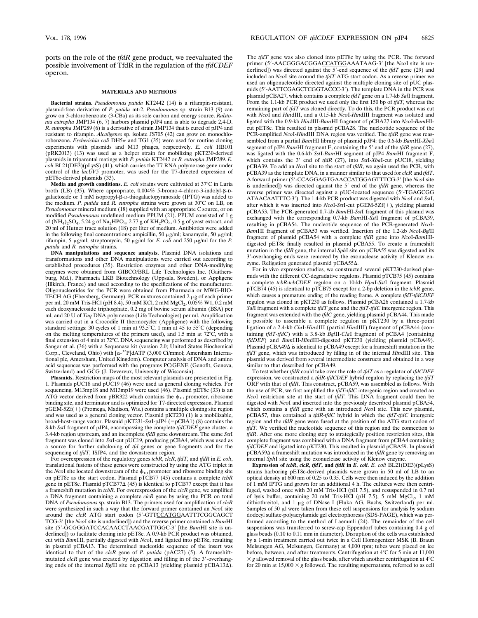ports on the role of the *tfdR* gene product, we reevaluated the possible involvement of TfdR in the regulation of the *tfdCDEF* operon.

## **MATERIALS AND METHODS**

**Bacterial strains.** *Pseudomonas putida* KT2442 (14) is a rifampin-resistant, plasmid-free derivative of *P. putida* mt-2. *Pseudomonas* sp. strain B13 (9) can grow on 3-chlorobenzoate (3-CBa) as its sole carbon and energy source. *Ralstonia eutropha* JMP134 (6, 7) harbors plasmid pJP4 and is able to degrade 2,4-D. *R. eutropha* JMP289 (6) is a derivative of strain JMP134 that is cured of pJP4 and resistant to rifampin. *Alcaligenes* sp. isolate JS705 (42) can grow on monochlorobenzene. *Escherichia coli* DH5a and TG1 (35) were used for routine cloning experiments with plasmids and M13 phages, respectively. *E. coli* HB101 (pRK2013) (13) was used as a helper strain for mobilizing pKT230-derived plasmids in triparental matings with *P. putida* KT2442 or *R. eutropha* JMP289. *E. coli* BL21(DE3)(pLysS) (41), which carries the T7 RNA polymerase gene under control of the *lacUV5* promoter, was used for the T7-directed expression of pET8c-derived plasmids (33).

**Media and growth conditions.** *E. coli* strains were cultivated at 37°C in Luria broth (LB) (35). Where appropriate,  $0.004\%$  5-bromo-4-chloro-3-indolyl- $\beta$ -Dgalactoside or 1 mM isopropyl-b-D-thiogalactopyranoside (IPTG) was added to the medium. *P. putida* and *R. eutropha* strains were grown at 30°C on LB, on *Pseudomonas* mineral medium (18) supplied with an appropriate C source, or on modified *Pseudomonas* undefined medium PPUM (21). PPUM consisted of 1 g of  $(NH_4)_2SO_4$ , 5.24 g of Na<sub>2</sub>HPO<sub>4</sub>, 2.77 g of  $KH_2PO_4$ , 0.5 g of yeast extract, and 20 ml of Hutner trace solution (18) per liter of medium. Antibiotics were added in the following final concentrations: ampicillin, 50  $\mu$ g/ml; kanamycin, 50  $\mu$ g/ml; rifampin, 5  $\mu$ g/ml; streptomycin, 50  $\mu$ g/ml for *E. coli* and 250  $\mu$ g/ml for the *P*. *putida* and *R. eutropha* strains.

**DNA manipulations and sequence analysis.** Plasmid DNA isolations and transformations and other DNA manipulations were carried out according to established procedures (35). Restriction enzymes and other DNA-modifying enzymes were obtained from GIBCO/BRL Life Technologies Inc. (Gaithersburg, Md.), Pharmacia LKB Biotechnology (Uppsala, Sweden), or Appligene (Illkirch, France) and used according to the specifications of the manufacturer. Oligonucleotides for the PCR were obtained from Pharmacia or MWG-BIO-TECH AG (Ebersberg, Germany). PCR mixtures contained  $2 \mu$ g of each primer per ml, 20 mM Tris-HCl (pH 8.4), 50 mM KCl, 2 mM MgCl<sub>2</sub>, 0.05% W1, 0.2 mM each deoxynucleoside triphosphate, 0.2 mg of bovine serum albumin (BSA) per ml, and 20 U of *Taq* DNA polymerase (Life Technologies) per ml. Amplification was carried out in a Crocodile II thermocycler (Appligene) with the following standard settings: 30 cycles of 1 min at 93.5°C, 1 min at 45 to 55°C (depending on the melting temperatures of the primers used), and 1.5 min at  $72^{\circ}$ C, with a final extension of 4 min at 72°C. DNA sequencing was performed as described by Sanger et al. (36) with a Sequenase kit (version 2.0; United States Biochemical Corp., Cleveland, Ohio) with [a-32P]dATP (3,000 Ci/mmol; Amersham International plc, Amersham, United Kingdom). Computer analysis of DNA and amino acid sequences was performed with the programs PC/GENE (Genofit, Geneva, Switzerland) and GCG (J. Devereux, University of Wisconsin).

**Plasmids.** Restriction maps of the most relevant plasmids are presented in Fig. 1. Plasmids pUC18 and pUC19 (46) were used as general cloning vehicles. For sequencing, M13mp18 and M13mp19 were used (46). Plasmid pET8c (33) is an ATG vector derived from pBR322 which contains the  $\phi_{10}$  promoter, ribosome binding site, and terminator and is optimized for T7-directed expression. Plasmid  $pGEM-5Zf(+)$  (Promega, Madison, Wis.) contains a multiple cloning site region and was used as a general cloning vector. Plasmid pKT230 (1) is a mobilizable, broad-host-range vector. Plasmid pKT231-SstI-pJP4 (=pCBA1) (8) contains the 8-kb *Sst*I fragment of pJP4, encompassing the complete *tfdCDEF* gene cluster, a 3.4-kb region upstream, and an incomplete *tfdB* gene downstream. The same *Sst*I fragment was cloned into *Sst*I-cut pUC19, producing pCBA4, which was used as a source for further subcloning of *tfd* genes or gene fragments and for the sequencing of *tfdT*, ISJP4, and the downstream region.

For overexpression of the regulatory genes *tcbR*, *clcR*, *tfdT*, and *tfdR* in *E. coli*, translational fusions of these genes were constructed by using the ATG triplet in the *Nco*I site located downstream of the  $\phi_{10}$  promoter and ribosome binding site on pET8c as the start codon. Plasmid pTCB77 (45) contains a complete *tcbR* gene in pET8c. Plasmid pTCB77 $\Delta$  (45) is identical to pTCB77 except that it has a frameshift mutation in *tcbR*. For overexpression of the *clcR* gene, we amplified a DNA fragment containing a complete *clcR* gene by using the PCR on total DNA of *Pseudomonas* sp. strain B13. The primers used for amplification of *clcR* were synthesized in such a way that the forward primer contained an *Nco*I site around the *clcR* ATG start codon (5'-GTTCCATGGAATTTCGGCAGCT TCG-39 [the *Nco*I site is underlined]) and the reverse primer contained a *Bam*HI site (5'-GCGGGATCCACAACCTAACGATTGGC-3' [the *BamHI* site is underlined]) to facilitate cloning into pET8c. A 0.9-kb PCR product was obtained, cut with *Bam*HI, partially digested with *Nco*I, and ligated into pET8c, resulting in plasmid pCBA13. The determined nucleotide sequence of the insert was identical to that of the *clcR* gene of *P. putida* (pAC27) (5). A frameshift-<br>mutated *clcR* gene was created by digestion and filling in of the 3'-overhanging ends of the internal *BglII* site on pCBA13 (yielding plasmid pCBA13 $\Delta$ ).

The *tfdT* gene was also cloned into pET8c by using the PCR. The forward primer (5<sup>7</sup>-AACGGGACGGACCATGGAAATAAG-3' [the *NcoI* site is underlined]) was directed against the 5'-end sequence of the  $tfdT$  gene (29) and included an *Nco*I site around the *tfdT* ATG start codon. As a reverse primer we used an oligonucleotide directed against the multiple cloning site of pUC plasmids (5'-AATTCGAGCTCGGTACCC-3'). The template DNA in the PCR was plasmid pCBA27, which contains a complete *tfdT* gene on a 1.7-kb *Sal*I fragment. From the 1.1-kb PCR product we used only the first 150 bp of *tfdT*, whereas the remaining part of *tfdT* was cloned directly. To do this, the PCR product was cut with *Nco*I and *Hin*dIII, and a 0.15-kb *Nco*I-*Hin*dIII fragment was isolated and ligated with the 0.9-kb *Hin*dIII-*Bam*HI fragment of pCBA27 into *Nco*I-*Bam*HIcut pET8c. This resulted in plasmid pCBA28. The nucleotide sequence of the PCR-amplified *Nco*I-*Hin*dIII DNA region was verified. The *tfdR* gene was reassembled from a partial *Bam*HI library of plasmid pJP4: the 0.6-kb *Bam*HI-*Xba*I segment of pJP4 *Bam*HI fragment E, containing the 5' end of the *tfdR* gene (27), was ligated with the 0.6-kb *Sst*I-*Bam*HI segment of pJP4 *Bam*HI fragment F, which contains the 3' end of *tfdR* (27), into *SstI-XbaI-cut pUC18*, yielding pCBA39. To add an *Nco*I site to the start of *tfdR*, we again used the PCR, with pCBA39 as the template DNA, in a manner similar to that used for *clcR* and *tfdT*. A forward primer (5'-CCAGGAGTGAACCATGGAGTTTCG-3' [the *NcoI* site is underlined]) was directed against the 5' end of the *tfdR* gene, whereas the reverse primer was directed against a pUC-located sequence (5'-TGAGCGG ATAACAATTTC-39). The 1.4-kb PCR product was digested with *Nco*I and *Sst*I, after which it was inserted into *NcoI-SstI-cut* pGEM-5Zf(+), yielding plasmid pCBA53. The PCR-generated 0.7-kb *Bam*HI-*Sst*I fragment of this plasmid was exchanged with the corresponding 0.7-kb *Bam*HI-*Sst*I fragment of pCBA39, resulting in pCBA54. The nucleotide sequence of the PCR-generated *Nco*I-*Bam*HI fragment of pCBA53 was verified. Insertion of the 1.2-kb *Nco*I-*Bgl*II fragment of plasmid pCBA54 with a complete *tfdR* gene into *Nco*I-*Bam*HIdigested pET8c finally resulted in plasmid pCBA55. To create a frameshift mutation in the *tfdR* gene, the internal *Sph*I site on pCBA55 was digested and its 3'-overhanging ends were removed by the exonuclease activity of Klenow enzyme. Religation generated plasmid pCBA55 $\Delta$ .

For in vivo expression studies, we constructed several pKT230-derived plasmids with the different CC-degradative regulons. Plasmid pTCB75 (45) contains a complete *tcbR-tcbCDEF* regulon on a 10-kb *Hpa*I-*Sst*I fragment. Plasmid pTCB74 (45) is identical to pTCB75 except for a 2-bp deletion in the *tcbR* gene, which causes a premature ending of the reading frame. A complete *tfdT-tfdCDEF* regulon was cloned in pKT230 as follows. Plasmid pCBA26 contained a 1.7-kb *Sal*I fragment with a complete *tfdT* gene and the *tfdT-tfdC* intergenic region. This fragment was extended with the *tfdC* gene, yielding plasmid pCBA44. This made it possible to assemble a complete regulon in pKT230 by a three-point ligation of a 2.4-kb *Cla*I-*Hin*dIII (partial *Hin*dIII) fragment of pCBA44 (containing *tfdT-tfdC*) with a 3.8-kb *Bgl*II-*Cla*I fragment of pCBA4 (containing *tfdDEF*) and *Bam*HI-*Hin*dIII-digested pKT230 (yielding plasmid pCBA49). Plasmid pCBA49 $\Delta$  is identical to pCBA49 except for a frameshift mutation in the *tfdT* gene, which was introduced by filling in of the internal *Hin*dIII site. This plasmid was derived from several intermediate constructs and obtained in a way similar to that described for pCBA49.

To test whether *tfdR* could take over the role of *tfdT* as a regulator of *tfdCDEF* expression, we constructed a *tfdR-tfdCDEF* hybrid regulon by replacing the *tfdT* ORF with that of *tfdR*. This construct, pCBA59, was assembled as follows. With the use of PCR, we first amplified the *tfdT-tfdC* intergenic region and created an *Nco*I restriction site at the start of *tfdT*. This DNA fragment could then be digested with *Nco*I and inserted into the previously described plasmid pCBA54, which contains a *tfdR* gene with an introduced *Nco*I site. This new plasmid, pCBA57, thus contained a *tfdR-tfdC* hybrid in which the *tfdT-tfdC* intergenic region and the *tfdR* gene were fused at the position of the ATG start codon of *tfdT*. We verified the nucleotide sequence of this region and the connection to *tfdR*. After one more cloning step to strategically position restriction sites, this complete fragment was combined with a DNA fragment from pCBA4 containing *tfdCDEF* and ligated into pKT230. This resulted in plasmid pCBA59. In plasmid  $pCBA59\Delta$  a frameshift mutation was introduced in the *tfdR* gene by removing an internal *Sph*I site using the exonuclease activity of Klenow enzyme.

**Expression of** *tcbR***,** *clcR***,** *tfdT***, and** *tfdR* **in** *E. coli. E. coli* BL21(DE3)(pLysS) strains harboring pET8c-derived plasmids were grown in 50 ml of LB to an optical density at 600 nm of 0.25 to 0.35. Cells were then induced by the addition of 1 mM IPTG and grown for an additional 4 h. The cultures were then centrifuged, washed once with 20 mM Tris-HCl (pH 7.5), and resuspended in 0.7 ml of lysis buffer, containing 20 mM Tris-HCl (pH  $7.5$ ), 5 mM MgCl<sub>2</sub>, 1 mM dithiothreitol, and 1 µg of DNase I (Fluka AG, Buchs, Switzerland) per ml. Samples of 50  $\mu$ l were taken from these cell suspensions for analysis by sodium dodecyl sulfate-polyacrylamide gel electrophoresis (SDS-PAGE), which was performed according to the method of Laemmli (24). The remainder of the cell suspensions was transferred to screw-cap Eppendorf tubes containing 0.4 g of glass beads (0.10 to 0.11 mm in diameter). Disruption of the cells was established by a 1-min treatment carried out twice in a Cell Homogenizer MSK (B. Braun Melsungen AG, Melsungen, Germany) at 4,000 rpm; tubes were placed on ice before, between, and after treatments. Centrifugation at 4°C for 5 min at 11,000  $\times$  g allowed removal of the glass beads, after which another centrifugation at 4<sup>o</sup>C for 20 min at 15,000  $\times$  *g* followed. The resulting supernatants, referred to as cell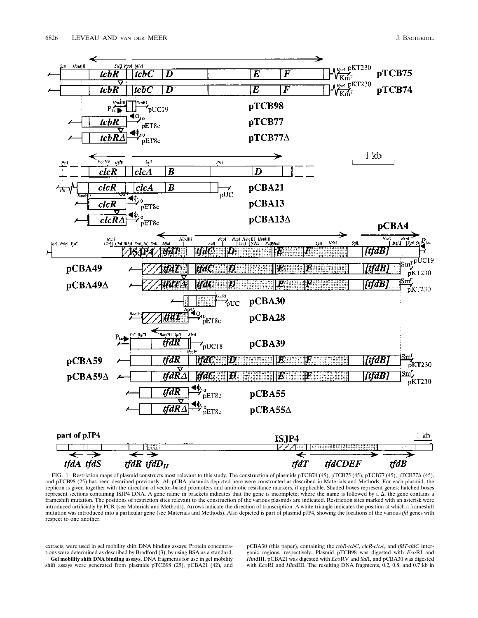

FIG. 1. Restriction maps of plasmid constructs most relevant to this study. The construction of plasmids pTCB74 (45), pTCB75 (45), pTCB77 (45), pTCB77 (45), and pTCB98 (25) has been described previously. All pCBA plasmids depicted here were constructed as described in Materials and Methods. For each plasmid, the replicon is given together with the direction of vector-based promoters and antibiotic resistance markers, if applicable. Shaded boxes represent genes; hatched boxes represent sections containing ISJP4 DNA. A gene name in brackets indicates that the gene is incomplete; where the name is followed by a  $\Delta$ , the gene contains a frameshift mutation. The positions of restriction sites relevant to the construction of the various plasmids are indicated. Restriction sites marked with an asterisk were introduced artificially by PCR (see Materials and Methods). Arrows indicate the direction of transcription. A white triangle indicates the position at which a frameshift mutation was introduced into a particular gene (see Materials and Methods). Also depicted is part of plasmid pJP4, showing the locations of the various *tfd* genes with respect to one another.

extracts, were used in gel mobility shift DNA binding assays. Protein concentrations were determined as described by Bradford (3), by using BSA as a standard. **Gel mobility shift DNA binding assays.** DNA fragments for use in gel mobility shift assays were generated from plasmids pTCB98 (25), pCBA21 (42), and pCBA30 (this paper), containing the *tcbR-tcbC*, *clcR-clcA*, and *tfdT-tfdC* intergenic regions, respectively. Plasmid pTCB98 was digested with *Eco*RI and *Hin*dIII, pCBA21 was digested with *Eco*RV and *Sal*I, and pCBA30 was digested with *Eco*RI and *HindIII*. The resulting DNA fragments, 0.2, 0.8, and 0.7 kb in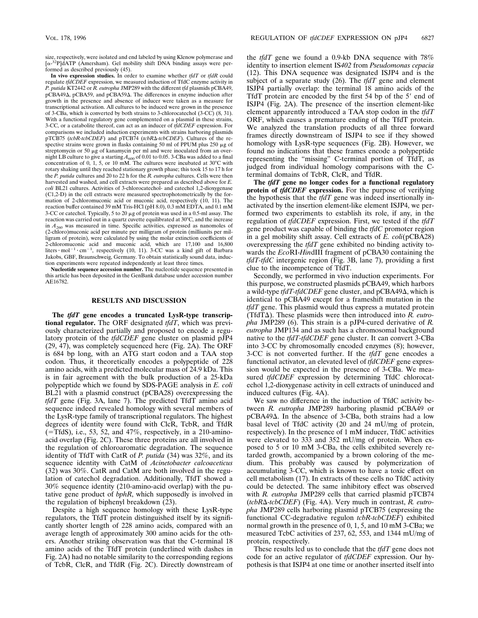size, respectively, were isolated and end labeled by using Klenow polymerase and [a-32P]dATP (Amersham). Gel mobility shift DNA binding assays were performed as described previously (45).

**In vivo expression studies.** In order to examine whether *tfdT* or *tfdR* could regulate *tfdCDEF* expression, we measured induction of TfdC enzyme activity in *P. putida* KT2442 or *R. eutropha* JMP289 with the different *tfd* plasmids pCBA49, pCBA49 $\Delta$ , pCBA59, and pCBA59 $\Delta$ . The differences in enzyme induction after growth in the presence and absence of inducer were taken as a measure for transcriptional activation. All cultures to be induced were grown in the presence of 3-CBa, which is converted by both strains to 3-chlorocatechol (3-CC) (8, 31). With a functional regulatory gene complemented on a plasmid in these strains, 3-CC, or a catabolite thereof, can act as an inducer of *tfdCDEF* expression. For comparisons we included induction experiments with strains harboring plasmids pTCB75 (tcbR-tcbCDEF) and pTCB74 (tcbR $\Delta$ -tcbCDEF). Cultures of the respective strains were grown in flasks containing 50 ml of PPUM plus 250  $\mu$ g of streptomycin or 50 µg of kanamycin per ml and were inoculated from an overnight LB culture to give a starting  $A_{600}$  of 0.01 to 0.05. 3-CBa was added to a final concentration of 0, 1, 5, or 10 mM. The cultures were incubated at 30°C with rotary shaking until they reached stationary growth phase; this took 15 to 17 h for the *P. putida* cultures and 20 to 22 h for the *R. eutropha* cultures. Cells were then harvested and washed, and cell extracts were prepared as described above for *E. coli* BL21 cultures. Activities of 3-chlorocatechol- and catechol 1,2-dioxygenase (C1,2-D) in the cell extracts were measured spectrophotometrically by the formation of 2-chloromuconic acid or muconic acid, respectively (10, 11). The reaction buffer contained 39 mM Tris-HCl (pH 8.0), 0.3 mM EDTA, and 0.1 mM 3-CC or catechol. Typically, 5 to 20  $\mu$ g of protein was used in a 0.5-ml assay. The reaction was carried out in a quartz cuvette equilibrated at 30°C, and the increase in *A*<sup>260</sup> was measured in time. Specific activities, expressed as nanomoles of (2-chloro)muconic acid per minute per milligram of protein (milliunits per milligram of protein), were calculated by using the molar extinction coefficients of 2-chloromuconic acid and muconic acid, which are 17,100 and 16,800 liters  $\cdot$  mol<sup>-1</sup>  $\cdot$  cm<sup>-1</sup>, respectively (10, 11). 3-CC was a kind gift of Barbara Jakobs, GBF, Braunschweig, Germany. To obtain statistically sound data, induction experiments were repeated independently at least three times.

**Nucleotide sequence accession number.** The nucleotide sequence presented in this article has been deposited in the GenBank database under accession number AE16782.

## **RESULTS AND DISCUSSION**

**The** *tfdT* **gene encodes a truncated LysR-type transcriptional regulator.** The ORF designated *tfdT*, which was previously characterized partially and proposed to encode a regulatory protein of the *tfdCDEF* gene cluster on plasmid pJP4 (29, 47), was completely sequenced here (Fig. 2A). The ORF is 684 bp long, with an ATG start codon and a TAA stop codon. Thus, it theoretically encodes a polypeptide of 228 amino acids, with a predicted molecular mass of 24.9 kDa. This is in fair agreement with the bulk production of a 25-kDa polypeptide which we found by SDS-PAGE analysis in *E. coli* BL21 with a plasmid construct (pCBA28) overexpressing the *tfdT* gene (Fig. 3A, lane 7). The predicted TfdT amino acid sequence indeed revealed homology with several members of the LysR-type family of transcriptional regulators. The highest degrees of identity were found with ClcR, TcbR, and TfdR  $(=\text{TfdS})$ , i.e., 53, 52, and 47%, respectively, in a 210-aminoacid overlap (Fig. 2C). These three proteins are all involved in the regulation of chloroaromatic degradation. The sequence identity of TfdT with CatR of *P. putida* (34) was 32%, and its sequence identity with CatM of *Acinetobacter calcoaceticus* (32) was 30%. CatR and CatM are both involved in the regulation of catechol degradation. Additionally, TfdT showed a 30% sequence identity (210-amino-acid overlap) with the putative gene product of *bphR*, which supposedly is involved in the regulation of biphenyl breakdown (23).

Despite a high sequence homology with these LysR-type regulators, the TfdT protein distinguished itself by its significantly shorter length of 228 amino acids, compared with an average length of approximately 300 amino acids for the others. Another striking observation was that the C-terminal 18 amino acids of the TfdT protein (underlined with dashes in Fig. 2A) had no notable similarity to the corresponding regions of TcbR, ClcR, and TfdR (Fig. 2C). Directly downstream of the *tfdT* gene we found a 0.9-kb DNA sequence with 78% identity to insertion element IS*402* from *Pseudomonas cepacia* (12). This DNA sequence was designated ISJP4 and is the subject of a separate study (26). The *tfdT* gene and element ISJP4 partially overlap: the terminal 18 amino acids of the TfdT protein are encoded by the first  $54$  bp of the  $5'$  end of ISJP4 (Fig. 2A). The presence of the insertion element-like element apparently introduced a TAA stop codon in the *tfdT* ORF, which causes a premature ending of the TfdT protein. We analyzed the translation products of all three forward frames directly downstream of ISJP4 to see if they showed homology with LysR-type sequences (Fig. 2B). However, we found no indications that these frames encode a polypeptide representing the "missing" C-terminal portion of TfdT, as judged from individual homology comparisons with the Cterminal domains of TcbR, ClcR, and TfdR.

**The** *tfdT* **gene no longer codes for a functional regulatory protein of** *tfdCDEF* **expression.** For the purpose of verifying the hypothesis that the *tfdT* gene was indeed insertionally inactivated by the insertion element-like element ISJP4, we performed two experiments to establish its role, if any, in the regulation of *tfdCDEF* expression. First, we tested if the *tfdT* gene product was capable of binding the *tfdC* promoter region in a gel mobility shift assay. Cell extracts of *E. coli*(pCBA28) overexpressing the *tfdT* gene exhibited no binding activity towards the *Eco*RI-*Hin*dIII fragment of pCBA30 containing the *tfdT-tfdC* intergenic region (Fig. 3B, lane 7), providing a first clue to the incompetence of TfdT.

Secondly, we performed in vivo induction experiments. For this purpose, we constructed plasmids pCBA49, which harbors a wild-type *tfdT-tfdCDEF* gene cluster, and pCBA49 $\Delta$ , which is identical to pCBA49 except for a frameshift mutation in the *tfdT* gene. This plasmid would thus express a mutated protein (TfdT $\Delta$ ). These plasmids were then introduced into *R. eutropha* JMP289 (6). This strain is a pJP4-cured derivative of *R. eutropha* JMP134 and as such has a chromosomal background native to the *tfdT-tfdCDEF* gene cluster. It can convert 3-CBa into 3-CC by chromosomally encoded enzymes (8); however, 3-CC is not converted further. If the *tfdT* gene encodes a functional activator, an elevated level of *tfdCDEF* gene expression would be expected in the presence of 3-CBa. We measured *tfdCDEF* expression by determining TfdC chlorocatechol 1,2-dioxygenase activity in cell extracts of uninduced and induced cultures (Fig. 4A).

We saw no difference in the induction of TfdC activity between *R. eutropha* JMP289 harboring plasmid pCBA49 or  $pCBA49\Delta$ . In the absence of 3-CBa, both strains had a low basal level of TfdC activity (20 and 24 mU/mg of protein, respectively). In the presence of 1 mM inducer, TfdC activities were elevated to 333 and 352 mU/mg of protein. When exposed to 5 or 10 mM 3-CBa, the cells exhibited severely retarded growth, accompanied by a brown coloring of the medium. This probably was caused by polymerization of accumulating 3-CC, which is known to have a toxic effect on cell metabolism (17). In extracts of these cells no TfdC activity could be detected. The same inhibitory effect was observed with *R. eutropha* JMP289 cells that carried plasmid pTCB74 (*tcbR*D*-tcbCDEF*) (Fig. 4A). Very much in contrast, *R. eutropha* JMP289 cells harboring plasmid pTCB75 (expressing the functional CC-degradative regulon *tcbR-tcbCDEF*) exhibited normal growth in the presence of 0, 1, 5, and 10 mM 3-CBa; we measured TcbC activities of 237, 62, 553, and 1344 mU/mg of protein, respectively.

These results led us to conclude that the *tfdT* gene does not code for an active regulator of *tfdCDEF* expression. Our hypothesis is that ISJP4 at one time or another inserted itself into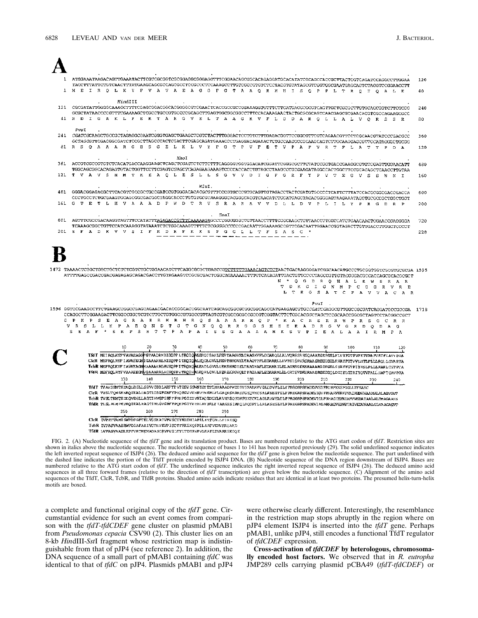$\blacktriangle$ 

| ATGGAAATAAGACATTTGAAATACTTCGCGGCGCGGGAGGCGGGAGGTTTCGGAACAGCGCACAGAGGATGCAAGACCACCGCCACCGCTTACTCGCAGATCCAGGCCTTGGAA<br>TACCTTTATTCTGTCAACTTTATGAAGCAGCGCCAGCGCCTCCGCCCTCCAAAGCCTTGTCGCCGTGTCTCCTACGTGTATAGCGTCGGTGGCGAATGAGCAGTCTAGGTCCGGAACCTT           |  |                                                                                                                                                                                                                                                                |     |     |       |       |         |     |  |     |                                 |     |       |     |     |  |     |                                                                                                                                                                                                                                                                             | 120 |
|----------------------------------------------------------------------------------------------------------------------------------------------------------------------------------------------------------------------------------------------------------|--|----------------------------------------------------------------------------------------------------------------------------------------------------------------------------------------------------------------------------------------------------------------|-----|-----|-------|-------|---------|-----|--|-----|---------------------------------|-----|-------|-----|-----|--|-----|-----------------------------------------------------------------------------------------------------------------------------------------------------------------------------------------------------------------------------------------------------------------------------|-----|
| M E I R Q L K Y F V A V A E A G G F G T A A Q R M H I S Q P P L T R O I Q A L E                                                                                                                                                                          |  |                                                                                                                                                                                                                                                                |     |     |       |       |         |     |  |     |                                 |     |       |     |     |  |     |                                                                                                                                                                                                                                                                             | 40  |
| 121 CGCGATATTGGGGCAAAGCTTTTCGAGCGGACGGCACGGGGCGTCGAACTCACCGCCGCGGAAAGGTGTTTCTTGATGACGCGCGTCAGTTGCTCGCGCTTGTGCAGCGGTCTTCGCGG                                                                                                                              |  | HindIII                                                                                                                                                                                                                                                        |     |     |       |       |         |     |  |     |                                 |     |       |     |     |  |     |                                                                                                                                                                                                                                                                             | 240 |
| 41 R D I G A K L F E R T A R G V E L T A A G K V F L D D A R Q L L A L V Q R S S R                                                                                                                                                                       |  |                                                                                                                                                                                                                                                                |     |     |       |       |         |     |  |     |                                 |     |       |     |     |  |     |                                                                                                                                                                                                                                                                             | 80  |
| PvuT                                                                                                                                                                                                                                                     |  |                                                                                                                                                                                                                                                                |     |     |       |       |         |     |  |     |                                 |     |       |     |     |  |     |                                                                                                                                                                                                                                                                             |     |
| 241 CGATCGCAAGCTGCCGCTAGAGGCGAATCGGGTGAGCTGAAGCTCGTCTACTTTGGGACTCCTGTCTTTGAGACGGTTCCGGCGTTCGTCAGAACGTTCCTCGCAACGTATCCCGACGCC<br>GCTAGCGTTCGACGGCGATCTCCGCTTAGCCCACTCGACTTCGAGCAGATGAAACCCTGAGGACAGAAACTCTGCCAAGCCCGCAAGCAGTCTTGCAAGGAGCGTTGCATAGGGCTGCGG |  |                                                                                                                                                                                                                                                                |     |     |       |       |         |     |  |     |                                 |     |       |     |     |  |     |                                                                                                                                                                                                                                                                             | 360 |
| 81 R S Q A A A R G E S G E L K L V Y F G T P V F E T V P A F V R T P L A T Y P D A                                                                                                                                                                       |  |                                                                                                                                                                                                                                                                |     |     |       |       |         |     |  |     |                                 |     |       |     |     |  |     |                                                                                                                                                                                                                                                                             | 120 |
|                                                                                                                                                                                                                                                          |  |                                                                                                                                                                                                                                                                |     |     | XhoI. |       |         |     |  |     |                                 |     |       |     |     |  |     |                                                                                                                                                                                                                                                                             | 480 |
|                                                                                                                                                                                                                                                          |  |                                                                                                                                                                                                                                                                |     |     |       |       |         |     |  |     |                                 |     |       |     |     |  |     |                                                                                                                                                                                                                                                                             |     |
| 121 T V A V S H M T K E A Q L E S L L S G V V D I G F G R F Y P V T E G V S S W N I                                                                                                                                                                      |  |                                                                                                                                                                                                                                                                |     |     |       |       |         |     |  |     |                                 |     |       |     |     |  |     |                                                                                                                                                                                                                                                                             | 160 |
|                                                                                                                                                                                                                                                          |  |                                                                                                                                                                                                                                                                |     |     |       | MluI. |         |     |  |     |                                 |     |       |     |     |  |     |                                                                                                                                                                                                                                                                             | 600 |
| 161 G T E T L H V A A A D P W D T R V S R A R A V V D L L D V P L I L Y P R G D R P                                                                                                                                                                      |  |                                                                                                                                                                                                                                                                |     |     |       |       |         |     |  |     |                                 |     |       |     |     |  |     |                                                                                                                                                                                                                                                                             | 200 |
|                                                                                                                                                                                                                                                          |  |                                                                                                                                                                                                                                                                |     |     |       |       | . Small |     |  |     |                                 |     |       |     |     |  |     |                                                                                                                                                                                                                                                                             |     |
| 601 AGTTTCGCCGACAAGGTAGTTTCCATATTTAGAGACCGTTTCAAAAAGAGCCCCGGGGGGCTGTTAACCTTTTCGGCAAGCTGTTAACCTTGGCCATCTGAACAACTGGAACCGAGGGGA<br>TCAAAGCGGCTGTTCCATCAAAGGTATAAATCTCTGGCAAAGTTTTTCTCGGGGCCCCCCGACAATTGGAAAAGCCGTTCGACAATTGGAACCGGTAGACTTGTTGACCTTGGCTCCCCT |  |                                                                                                                                                                                                                                                                |     |     |       |       |         |     |  |     |                                 |     |       |     |     |  |     |                                                                                                                                                                                                                                                                             | 720 |
| 201 S F A D K V V S I F R D R F K K S P G G L L T F S A S C *                                                                                                                                                                                            |  |                                                                                                                                                                                                                                                                |     |     |       |       |         |     |  |     |                                 |     |       |     |     |  |     |                                                                                                                                                                                                                                                                             | 228 |
| ATTTTGAGCCGACCGACGAGAGAGCAGACCACCTTGTAGAAGTCCGCGCGACTCGGCAGAAAAACTTTGTCAGAGATTGACTGTTCCCCTAGCCGTTGTACGGGACGCCACCAGCGCACGCCCT                                                                                                                             |  |                                                                                                                                                                                                                                                                |     |     |       |       |         |     |  |     | L T R G S A T C P A V V A C A R |     |       |     |     |  |     | N * Q G D R Q H A L R W S R A R<br>T D K G I G N M P C G G R V R E                                                                                                                                                                                                          |     |
|                                                                                                                                                                                                                                                          |  |                                                                                                                                                                                                                                                                |     |     |       |       |         |     |  |     |                                 |     |       |     |     |  |     |                                                                                                                                                                                                                                                                             |     |
|                                                                                                                                                                                                                                                          |  |                                                                                                                                                                                                                                                                |     |     |       |       |         |     |  |     |                                 |     |       |     |     |  |     |                                                                                                                                                                                                                                                                             |     |
| 1596 GGTCCGAAGCCTTCTGAAGCCGGCCGAGAACGACACCGGCACCGGCAATCAGCAGCGGCGGGGGGGCATGAAGAGCGTGCCGATCGAGGCGTTGGCCGCGATCAGGATGCCGGCGA 1718                                                                                                                           |  |                                                                                                                                                                                                                                                                |     |     |       |       |         |     |  |     |                                 |     | PvuI. |     |     |  |     |                                                                                                                                                                                                                                                                             |     |
| CCAGGCTTCGGAAGACTTCGGCCGGCTCGTCTTGCTGTGGCCGTTAGTCGTCGCCGCCGCCGCCGTACTTCTCGCACGGCTAGCTCCGCAACCGGCGTAGTCCTACGGCCCC<br>G P K P S E A G R A E R H R R Q S A A A R R Q P * R A C R S R R W P R S G C R R                                                      |  |                                                                                                                                                                                                                                                                |     |     |       |       |         |     |  |     |                                 |     |       |     |     |  |     |                                                                                                                                                                                                                                                                             |     |
| V R S L L K P A E Q N D T G T G N Q Q R R G G S H E E R A D R G V G R D Q D A G<br>S E A F * S R P S R T T P A P A I S S G A A A A M K S V P I E A L A A I R M P A                                                                                       |  |                                                                                                                                                                                                                                                                |     |     |       |       |         |     |  |     |                                 |     |       |     |     |  |     |                                                                                                                                                                                                                                                                             |     |
|                                                                                                                                                                                                                                                          |  |                                                                                                                                                                                                                                                                |     |     |       |       |         |     |  |     |                                 |     |       |     |     |  |     |                                                                                                                                                                                                                                                                             |     |
|                                                                                                                                                                                                                                                          |  |                                                                                                                                                                                                                                                                | 20  |     |       | 40    | 50      | -60 |  |     |                                 | 80  |       | 90  | 100 |  | 110 | 120                                                                                                                                                                                                                                                                         |     |
|                                                                                                                                                                                                                                                          |  |                                                                                                                                                                                                                                                                |     |     |       |       |         |     |  |     |                                 |     |       |     |     |  |     | TIIT MEI ROLKYFVAVAEAGGFGTAAQRWHISQPP LTROIQKLERDIGAKLFERTARGVELTAAGKVFLDDARQLLALVQRSSRBSQAARGESGELKLVYFGTPVFETVPAFVRTFLATVPDA<br>CICR MEFROLRYF I AVAESCAUGAAARRLHISOPP I TROIQALEODLGVVIETR THRGVELTAAGTTFLEDARRLLHVTET ŚRVKSRAA SROEIGELRVAYFOTVVLHYLPLLLROLL SVAPSA     |     |
|                                                                                                                                                                                                                                                          |  |                                                                                                                                                                                                                                                                |     |     |       |       |         |     |  |     |                                 |     |       |     |     |  |     | TchR MEPROLKYF I AVAEAG MAAAAKRLHVSQPP I TROXQALEADLGVVLLERSHRG I ELTAAGHAFLEDARR ILEL AGRSG ORSRAAARG DVGELSVAYFGT PIYSLPLLLERAFL TST PTA<br>TMR MEFROLRYFVAAAEEGWOAAARRLHISOPPVTROIHKLEORLOVLLFERSARGVOLT PAGAAFLEDARRMLELGRTSVDRSRAASRGEIGOLDIGYLGTAIYOTVPALLHAFT CAVPCA |     |
|                                                                                                                                                                                                                                                          |  | 130                                                                                                                                                                                                                                                            | 140 | 150 |       | 160   | 170     | 180 |  | 190 |                                 | 200 |       | 210 | 220 |  | 230 | 240                                                                                                                                                                                                                                                                         |     |
|                                                                                                                                                                                                                                                          |  | TIdT TVAVSIBITKERQLESLLSGVVDIGLARFYPVTEGVSSWNICTETLHVAAADPWDTRVSSARAVVDLLDVPLILYPRGDRPSFADKVVSIFRDRFKKSRGGLUTFSASC                                                                                                                                             |     |     |       |       |         |     |  |     |                                 |     |       |     |     |  |     |                                                                                                                                                                                                                                                                             |     |
|                                                                                                                                                                                                                                                          |  | ClcR TVSLTQMSKNRQIEALDAGTIDIGFGRFYPYQEGVVVRNVTNERLFLGAQKSRARSFGEQVHCSALRNEPFILFPREGRPSFADEVIGVFKNARVEPKVVAIVEDVNAAMALALAGVGVT<br>TchR_TVSLTHMTKDEQVEGLLAGTIHVGPSRFFPRHPGIEIVNIAQEDLYLAVHRSQSGKFGKTCKLADLRAVELTLFPRGGRPSFADEVIGLFRHAGTEFRIARIVEDATAALALTWAGAASS |     |     |       |       |         |     |  |     |                                 |     |       |     |     |  |     |                                                                                                                                                                                                                                                                             |     |
|                                                                                                                                                                                                                                                          |  | TMR TLSLALMPKVRQIEALRAGTIHLGVGRFYPQEPGITVLIILHYERLY TAAGSS IARQLRQDPTLLRLKSESIMLPPREGRPSPADEVIALMRRAGVEPRVTAIVELWNAALGLVAAGAGVT<br>250                                                                                                                         | 260 | 270 |       | 280   | 290     |     |  |     |                                 |     |       |     |     |  |     |                                                                                                                                                                                                                                                                             |     |
|                                                                                                                                                                                                                                                          |  | CICR IVPETVAMISMPDFGFTELVGSKATVPVSCIYRIIDHIAPILKTFLNLLPIRESO                                                                                                                                                                                                   |     |     |       |       |         |     |  |     |                                 |     |       |     |     |  |     |                                                                                                                                                                                                                                                                             |     |
|                                                                                                                                                                                                                                                          |  | TcbR IVPASVAAIRWPDIAFARIVCTRVKVPISCTFRKEKQPPILARFVERVRRSAKD<br>TfdR LVPASVAAIRRPFVRTMEMADASOKVPVSLTYLTDSRVPVLRAFLIVARRGKGQK                                                                                                                                    |     |     |       |       |         |     |  |     |                                 |     |       |     |     |  |     |                                                                                                                                                                                                                                                                             |     |

FIG. 2. (A) Nucleotide sequence of the *tfdT* gene and its translation product. Bases are numbered relative to the ATG start codon of *tfdT*. Restriction sites are shown in italics above the nucleotide sequence. The nucleotide sequence of bases 1 to 141 has been reported previously (29). The solid underlined sequence indicates the left inverted repeat sequence of ISJP4 (26). The deduced amino acid sequence for the *tfdT* gene is given below the nucleotide sequence. The part underlined with the dashed line indicates the portion of the TfdT protein encoded by ISJP4 DNA. (B) Nucleotide sequence of the DNA region downstream of ISJP4. Bases are numbered relative to the ATG start codon of *tfdT*. The underlined sequence indicates the right inverted repeat sequence of ISJP4 (26). The deduced amino acid sequences in all three forward frames (relative to the direction of *tfdT* transcription) are given below the nucleotide sequence. (C) Alignment of the amino acid sequences of the TfdT, ClcR, TcbR, and TfdR proteins. Shaded amino acids indicate residues that are identical in at least two proteins. The presumed helix-turn-helix motifs are boxed.

a complete and functional original copy of the *tfdT* gene. Circumstantial evidence for such an event comes from comparison with the *tfdT-tfdCDEF* gene cluster on plasmid pMAB1 from *Pseudomonas cepacia* CSV90 (2). This cluster lies on an 8-kb *Hin*dIII-*Sst*I fragment whose restriction map is indistinguishable from that of pJP4 (see reference 2). In addition, the DNA sequence of a small part of pMAB1 containing *tfdC* was identical to that of *tfdC* on pJP4. Plasmids pMAB1 and pJP4 were otherwise clearly different. Interestingly, the resemblance in the restriction map stops abruptly in the region where on pJP4 element ISJP4 is inserted into the *tfdT* gene. Perhaps pMAB1, unlike pJP4, still encodes a functional TfdT regulator of *tfdCDEF* expression.

**Cross-activation of** *tfdCDEF* **by heterologous, chromosomally encoded host factors.** We observed that in *R. eutropha* JMP289 cells carrying plasmid pCBA49 (*tfdT-tfdCDEF*) or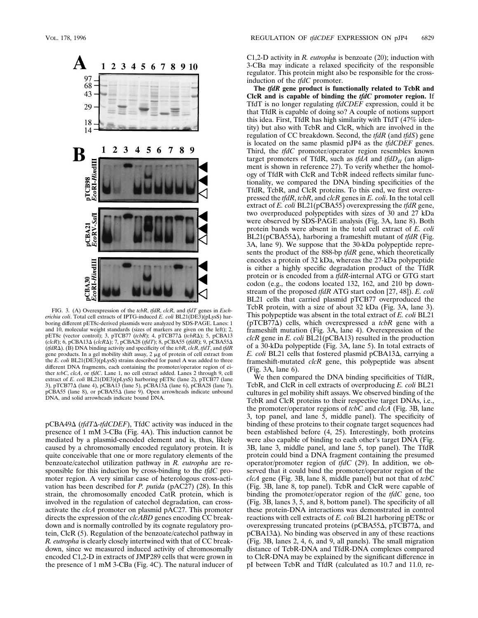

FIG. 3. (A) Overexpression of the *tcbR*, *tfdR*, *clcR*, and *tfdT* genes in *Escherichia coli*. Total cell extracts of IPTG-induced *E. coli* BL21(DE3)(pLysS) harboring different pET8c-derived plasmids were analyzed by SDS-PAGE. Lanes: 1 and 10, molecular weight standards (sizes of markers are given on the left); 2, pET8c (vector control); 3, pTCB77 (*tcbR*); 4, pTCB77D (*tcbR*D); 5, pCBA13 (*clcR*); 6, pCBA13D (*clcR*D); 7, pCBA28 (*tfdT*); 8, pCBA55 (*tfdR*); 9, pCBA55D  $(tfdR\Delta)$ . (B) DNA binding activity and specificity of the *tcbR*, *clcR*, *tfdT*, and *tfdR* gene products. In a gel mobility shift assay,  $2 \mu$ g of protein of cell extract from the *E. coli* BL21(DE3)(pLysS) strains described for panel A was added to three different DNA fragments, each containing the promoter/operator region of either *tcbC*, *clcA*, or *tfdC*. Lane 1, no cell extract added. Lanes 2 through 9, cell extract of *E. coli* BL21(DE3)(pLysS) harboring pET8c (lane 2), pTCB77 (lane 3), pTCB77Δ (lane 4), pCBA13 (lane 5), pCBA13Δ (lane 7), pCBA55 (lane 8), or pCBA55 $\Delta$  (lane 9). Open arrowheads indicate unbound DNA, and solid arrowheads indicate bound DNA.

pCBA49D (*tfdT*D*-tfdCDEF*), TfdC activity was induced in the presence of 1 mM 3-CBa (Fig. 4A). This induction cannot be mediated by a plasmid-encoded element and is, thus, likely caused by a chromosomally encoded regulatory protein. It is quite conceivable that one or more regulatory elements of the benzoate/catechol utilization pathway in *R. eutropha* are responsible for this induction by cross-binding to the *tfdC* promoter region. A very similar case of heterologous cross-activation has been described for *P. putida* (pAC27) (28). In this strain, the chromosomally encoded CatR protein, which is involved in the regulation of catechol degradation, can crossactivate the *clcA* promoter on plasmid pAC27. This promoter directs the expression of the *clcABD* genes encoding CC breakdown and is normally controlled by its cognate regulatory protein, ClcR (5). Regulation of the benzoate/catechol pathway in *R. eutropha* is clearly closely intertwined with that of CC breakdown, since we measured induced activity of chromosomally encoded C1,2-D in extracts of JMP289 cells that were grown in the presence of 1 mM 3-CBa (Fig. 4C). The natural inducer of C1,2-D activity in *R. eutropha* is benzoate (20); induction with 3-CBa may indicate a relaxed specificity of the responsible regulator. This protein might also be responsible for the crossinduction of the *tfdC* promoter.

**The** *tfdR* **gene product is functionally related to TcbR and ClcR and is capable of binding the** *tfdC* **promoter region.** If TfdT is no longer regulating *tfdCDEF* expression, could it be that TfdR is capable of doing so? A couple of notions support this idea. First, TfdR has high similarity with TfdT (47% identity) but also with TcbR and ClcR, which are involved in the regulation of CC breakdown. Second, the *tfdR* (and *tfdS*) gene is located on the same plasmid pJP4 as the *tfdCDEF* genes. Third, the *tfdC* promoter/operator region resembles known target promoters of TfdR, such as  $tfdA$  and  $tfdD<sub>II</sub>$  (an alignment is shown in reference 27). To verify whether the homology of TfdR with ClcR and TcbR indeed reflects similar functionality, we compared the DNA binding specificities of the TfdR, TcbR, and ClcR proteins. To this end, we first overexpressed the *tfdR*, *tcbR*, and *clcR* genes in *E. coli*. In the total cell extract of *E. coli* BL21(pCBA55) overexpressing the *tfdR* gene, two overproduced polypeptides with sizes of 30 and 27 kDa were observed by SDS-PAGE analysis (Fig. 3A, lane 8). Both protein bands were absent in the total cell extract of *E. coli*  $BL21(pCBA55\Delta)$ , harboring a frameshift mutant of *tfdR* (Fig. 3A, lane 9). We suppose that the 30-kDa polypeptide represents the product of the 888-bp *tfdR* gene, which theoretically encodes a protein of 32 kDa, whereas the 27-kDa polypeptide is either a highly specific degradation product of the TfdR protein or is encoded from a *tfdR*-internal ATG or GTG start codon (e.g., the codons located 132, 162, and 210 bp downstream of the proposed *tfdR* ATG start codon [27, 48]). *E. coli* BL21 cells that carried plasmid pTCB77 overproduced the TcbR protein, with a size of about 32 kDa (Fig. 3A, lane 3). This polypeptide was absent in the total extract of *E. coli* BL21  $(pTCB77\Delta)$  cells, which overexpressed a *tcbR* gene with a frameshift mutation (Fig. 3A, lane 4). Overexpression of the *clcR* gene in *E. coli* BL21(pCBA13) resulted in the production of a 30-kDa polypeptide (Fig. 3A, lane 5). In total extracts of *E. coli* BL21 cells that fostered plasmid pCBA13Δ, carrying a frameshift-mutated *clcR* gene, this polypeptide was absent (Fig. 3A, lane 6).

We then compared the DNA binding specificities of TfdR, TcbR, and ClcR in cell extracts of overproducing *E. coli* BL21 cultures in gel mobility shift assays. We observed binding of the TcbR and ClcR proteins to their respective target DNAs, i.e., the promoter/operator regions of *tcbC* and *clcA* (Fig. 3B, lane 3, top panel, and lane 5, middle panel). The specificity of binding of these proteins to their cognate target sequences had been established before (4, 25). Interestingly, both proteins were also capable of binding to each other's target DNA (Fig. 3B, lane 3, middle panel, and lane 5, top panel). The TfdR protein could bind a DNA fragment containing the presumed operator/promoter region of *tfdC* (29). In addition, we observed that it could bind the promoter/operator region of the *clcA* gene (Fig. 3B, lane 8, middle panel) but not that of *tcbC* (Fig. 3B, lane 8, top panel). TcbR and ClcR were capable of binding the promoter/operator region of the *tfdC* gene, too (Fig. 3B, lanes 3, 5, and 8, bottom panel). The specificity of all these protein-DNA interactions was demonstrated in control reactions with cell extracts of *E. coli* BL21 harboring pET8c or overexpressing truncated proteins ( $pCBA55\Delta$ ,  $pTCB77\Delta$ , and  $pCBA13\Delta$ ). No binding was observed in any of these reactions (Fig. 3B, lanes 2, 4, 6, and 9, all panels). The small migration distance of TcbR-DNA and TfdR-DNA complexes compared to ClcR-DNA may be explained by the significant difference in pI between TcbR and TfdR (calculated as 10.7 and 11.0, re-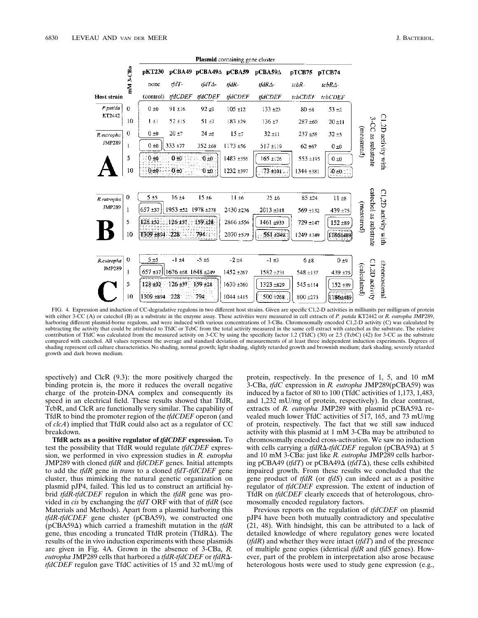

FIG. 4. Expression and induction of CC-degradative regulons in two different host strains. Given are specific C1,2-D activities in milliunits per milligram of protein with either 3-CC (A) or catechol (B) as a substrate in the enzyme assay. These activities were measured in cell extracts of *P. putida* KT2442 or *R. eutropha* JMP289, harboring different plasmid-borne regulons, and were induced with various concentrations of 3-CBa. Chromosomally encoded C1,2-D activity (C) was calculated by subtracting the activity that could be attributed to TfdC or TcbC from the total activity measured in the same cell extract with catechol as the substrate. The relative contribution of TfdC was calculated from the measured activity on 3-CC by using the specificity factor 1.2 (TfdC) (30) or 2.5 (TcbC) (42) for 3-CC as the substrate compared with catechol. All values represent the average and standard deviation of measurements of at least three independent induction experiments. Degrees of shading represent cell culture characteristics. No shading, normal growth; light shading, slightly retarded growth and brownish medium; dark shading, severely retarded growth and dark brown medium.

spectively) and ClcR (9.3): the more positively charged the binding protein is, the more it reduces the overall negative charge of the protein-DNA complex and consequently its speed in an electrical field. These results showed that TfdR, TcbR, and ClcR are functionally very similar. The capability of TfdR to bind the promoter region of the *tfdCDEF* operon (and of *clcA*) implied that TfdR could also act as a regulator of CC breakdown.

**TfdR acts as a positive regulator of** *tfdCDEF* **expression.** To test the possibility that TfdR would regulate *tfdCDEF* expression, we performed in vivo expression studies in *R. eutropha* JMP289 with cloned *tfdR* and *tfdCDEF* genes. Initial attempts to add the *tfdR* gene in *trans* to a cloned *tfdT-tfdCDEF* gene cluster, thus mimicking the natural genetic organization on plasmid pJP4, failed. This led us to construct an artificial hybrid *tfdR-tfdCDEF* regulon in which the *tfdR* gene was provided in *cis* by exchanging the *tfdT* ORF with that of *tfdR* (see Materials and Methods). Apart from a plasmid harboring this *tfdR-tfdCDEF* gene cluster (pCBA59), we constructed one  $(pCBA59\Delta)$  which carried a frameshift mutation in the *tfdR* gene, thus encoding a truncated TfdR protein ( $TfdR\Delta$ ). The results of the in vivo induction experiments with these plasmids are given in Fig. 4A. Grown in the absence of 3-CBa, *R. eutropha* JMP289 cells that harbored a *tfdR-tfdCDEF* or *tfdR*D*tfdCDEF* regulon gave TfdC activities of 15 and 32 mU/mg of protein, respectively. In the presence of 1, 5, and 10 mM 3-CBa, *tfdC* expression in *R. eutropha* JMP289(pCBA59) was induced by a factor of 80 to 100 (TfdC activities of 1,173, 1,483, and 1,232 mU/mg of protein, respectively). In clear contrast, extracts of *R. eutropha* JMP289 with plasmid pCBA59 $\Delta$  revealed much lower TfdC activities of 517, 165, and 73 mU/mg of protein, respectively. The fact that we still saw induced activity with this plasmid at 1 mM 3-CBa may be attributed to chromosomally encoded cross-activation. We saw no induction with cells carrying a *tfdR*Δ-*tfdCDEF* regulon (pCBA59Δ) at 5 and 10 mM 3-CBa: just like *R. eutropha* JMP289 cells harboring pCBA49 (*tfdT*) or pCBA49 $\Delta$  (*tfdT* $\Delta$ ), these cells exhibited impaired growth. From these results we concluded that the gene product of *tfdR* (or *tfdS*) can indeed act as a positive regulator of *tfdCDEF* expression. The extent of induction of TfdR on *tfdCDEF* clearly exceeds that of heterologous, chromosomally encoded regulatory factors.

Previous reports on the regulation of *tfdCDEF* on plasmid pJP4 have been both mutually contradictory and speculative (21, 48). With hindsight, this can be attributed to a lack of detailed knowledge of where regulatory genes were located (*tfdR*) and whether they were intact (*tfdT*) and of the presence of multiple gene copies (identical *tfdR* and *tfdS* genes). However, part of the problem in interpretation also arose because heterologous hosts were used to study gene expression (e.g.,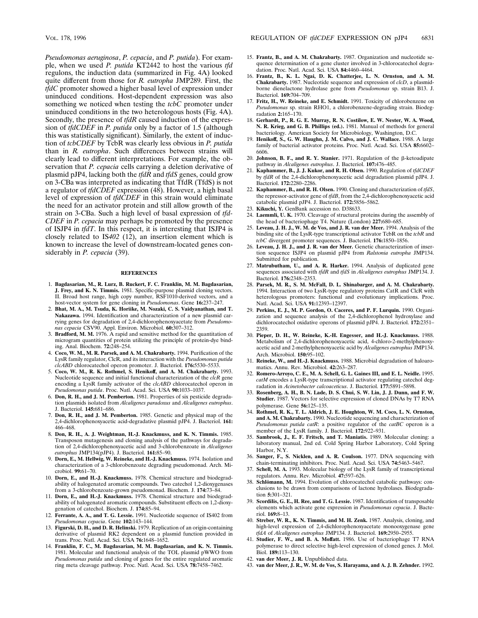*Pseudomonas aeruginosa*, *P. cepacia*, and *P. putida*). For example, when we used *P. putida* KT2442 to host the various *tfd* regulons, the induction data (summarized in Fig. 4A) looked quite different from those for *R. eutropha* JMP289. First, the *tfdC* promoter showed a higher basal level of expression under uninduced conditions. Host-dependent expression was also something we noticed when testing the *tcbC* promoter under uninduced conditions in the two heterologous hosts (Fig. 4A). Secondly, the presence of *tfdR* caused induction of the expression of *tfdCDEF* in *P. putida* only by a factor of 1.5 (although this was statistically significant). Similarly, the extent of induction of *tcbCDEF* by TcbR was clearly less obvious in *P. putida* than in *R. eutropha*. Such differences between strains will clearly lead to different interpretations. For example, the observation that *P. cepacia* cells carrying a deletion derivative of plasmid pJP4, lacking both the *tfdR* and *tfdS* genes, could grow on 3-CBa was interpreted as indicating that TfdR (TfdS) is not a regulator of *tfdCDEF* expression (48). However, a high basal level of expression of *tfdCDEF* in this strain would eliminate the need for an activator protein and still allow growth of the strain on 3-CBa. Such a high level of basal expression of *tfd-CDEF* in *P. cepacia* may perhaps be promoted by the presence of ISJP4 in *tfdT*. In this respect, it is interesting that ISJP4 is closely related to IS*402* (12), an insertion element which is known to increase the level of downstream-located genes considerably in *P. cepacia* (39).

## **REFERENCES**

- 1. **Bagdasarian, M., R. Lurz, B. Ruckert, F. C. Franklin, M. M. Bagdasarian, J. Frey, and K. N. Timmis.** 1981. Specific-purpose plasmid cloning vectors. II. Broad host range, high copy number, RSF1010-derived vectors, and a host-vector system for gene cloning in *Pseudomonas*. Gene **16:**237–247.
- 2. **Bhat, M. A., M. Tsuda, K. Horiike, M. Nozaki, C. S. Vaidyanathan, and T. Nakazawa.** 1994. Identification and characterization of a new plasmid carrying genes for degradation of 2,4-dichlorophenoxyacetate from *Pseudomonas cepacia* CSV90. Appl. Environ. Microbiol. **60:**307–312.
- 3. **Bradford, M. M.** 1976. A rapid and sensitive method for the quantitation of microgram quantities of protein utilizing the principle of protein-dye binding. Anal. Biochem. **72:**248–254.
- 4. **Coco, W. M., M. R. Parsek, and A. M. Chakrabarty.** 1994. Purification of the LysR family regulator, ClcR, and its interaction with the *Pseudomonas putida clcABD* chlorocatechol operon promoter. J. Bacteriol. **176:**5530–5533.
- 5. **Coco, W. M., R. K. Rothmel, S. Henikoff, and A. M. Chakrabarty.** 1993. Nucleotide sequence and initial functional characterization of the *clcR* gene encoding a LysR family activator of the *clcABD* chlorocatechol operon in *Pseudomonas putida*. Proc. Natl. Acad. Sci. USA **90:**1033–1037.
- 6. **Don, R. H., and J. M. Pemberton.** 1981. Properties of six pesticide degradation plasmids isolated from *Alcaligenes paradoxus* and *Alcaligenes eutrophus*. J. Bacteriol. **145:**681–686.
- 7. **Don, R. H., and J. M. Pemberton.** 1985. Genetic and physical map of the 2,4-dichlorophenoxyacetic acid-degradative plasmid pJP4. J. Bacteriol. **161:** 466–468.
- 8. **Don, R. H., A. J. Weightman, H.-J. Knackmuss, and K. N. Timmis.** 1985. Transposon mutagenesis and cloning analysis of the pathways for degradation of 2,4-dichlorophenoxyacetic acid and 3-chlorobenzoate in *Alcaligenes eutrophus* JMP134(pJP4). J. Bacteriol. **161:**85–90.
- 9. **Dorn, E., M. Hellwig, W. Reineke, and H.-J. Knackmuss.** 1974. Isolation and characterization of a 3-chlorobenzoate degrading pseudomonad. Arch. Microbiol. **99:**61–70.
- 10. **Dorn, E., and H.-J. Knackmuss.** 1978. Chemical structure and biodegradability of halogenated aromatic compounds. Two catechol 1,2-dioxygenases from a 3-chlorobenzoate-grown pseudomonad. Biochem. J. **174:**73–84.
- 11. **Dorn, E., and H.-J. Knackmuss.** 1978. Chemical structure and biodegradability of halogenated aromatic compounds. Substituent effects on 1,2-dioxygenation of catechol. Biochem. J. **174:**85–94.
- 12. **Ferrante, A. A., and T. G. Lessie.** 1991. Nucleotide sequence of IS402 from *Pseudomonas cepacia*. Gene **102:**143–144.
- 13. **Figurski, D. H., and D. R. Helinski.** 1979. Replication of an origin-containing derivative of plasmid RK2 dependent on a plasmid function provided in trans. Proc. Natl. Acad. Sci. USA **76:**1648–1652.
- 14. **Franklin, F. C., M. Bagdasarian, M. M. Bagdasarian, and K. N. Timmis.** 1981. Molecular and functional analysis of the TOL plasmid pWWO from *Pseudomonas putida* and cloning of genes for the entire regulated aromatic ring meta cleavage pathway. Proc. Natl. Acad. Sci. USA **78:**7458–7462.
- 15. **Frantz, B., and A. M. Chakrabarty.** 1987. Organization and nucleotide sequence determination of a gene cluster involved in 3-chlorocatechol degradation. Proc. Natl. Acad. Sci. USA **84:**4460–4464.
- 16. **Frantz, B., K. L. Ngai, D. K. Chatterjee, L. N. Ornston, and A. M. Chakrabarty.** 1987. Nucleotide sequence and expression of *clcD*, a plasmidborne dienelactone hydrolase gene from *Pseudomonas* sp. strain B13. J. Bacteriol. **169:**704–709.
- 17. **Fritz, H., W. Reineke, and E. Schmidt.** 1991. Toxicity of chlorobenzene on *Pseudomonas* sp. strain RHO1, a chlorobenzene-degrading strain. Biodegradation **2:**165–170.
- 18. **Gerhardt, P., R. G. E. Murray, R. N. Costilow, E. W. Nester, W. A. Wood, N. R. Krieg, and G. B. Phillips (ed.).** 1981. Manual of methods for general bacteriology. American Society for Microbiology, Washington, D.C.
- 19. **Henikoff, S., G. W. Haughn, J. M. Calvo, and J. C. Wallace.** 1988. A large family of bacterial activator proteins. Proc. Natl. Acad. Sci. USA **85:**6602– 6606.
- 20. **Johnson, B. F., and R. Y. Stanier.** 1971. Regulation of the  $\beta$ -ketoadipate pathway in *Alcaligenes eutrophus*. J. Bacteriol. **107:**476–485.
- 21. **Kaphammer, B., J. J. Kukor, and R. H. Olsen.** 1990. Regulation of *tfdCDEF* by *tfdR* of the 2,4-dichlorophenoxyacetic acid degradation plasmid pJP4. J. Bacteriol. **172:**2280–2286.
- 22. **Kaphammer, B., and R. H. Olsen.** 1990. Cloning and characterization of *tfdS*, the repressor-activator gene of *tfdB*, from the 2,4-dichlorophenoxyacetic acid catabolic plasmid pJP4. J. Bacteriol. **172:**5856–5862.
- 23. **Kikuchi, Y.** GenBank accession no. D38633.
- 24. **Laemmli, U. K.** 1970. Cleavage of structural proteins during the assembly of the head of bacteriophage T4. Nature (London) **227:**680–685.
- 25. **Leveau, J. H. J., W. M. de Vos, and J. R. van der Meer.** 1994. Analysis of the binding site of the LysR-type transcriptional activator TcbR on the *tcbR* and *tcbC* divergent promoter sequences. J. Bacteriol. **176:**1850–1856.
- 26. **Leveau, J. H. J., and J. R. van der Meer.** Genetic characterization of insertion sequence ISJP4 on plasmid pJP4 from *Ralstonia eutropha* JMP134. Submitted for publication.
- 27. **Matrubutham, U., and A. R. Harker.** 1994. Analysis of duplicated gene sequences associated with *tfdR* and *tfdS* in *Alcaligenes eutrophus* JMP134. J. Bacteriol. **176:**2348–2353.
- 28. **Parsek, M. R., S. M. McFall, D. L. Shinabarger, and A. M. Chakrabarty.** 1994. Interaction of two LysR-type regulatory proteins CatR and ClcR with heterologous promoters: functional and evolutionary implications. Proc. Natl. Acad. Sci. USA **91:**12393–12397.
- 29. **Perkins, E. J., M. P. Gordon, O. Caceres, and P. F. Lurquin.** 1990. Organization and sequence analysis of the 2,4-dichlorophenol hydroxylase and dichlorocatechol oxidative operons of plasmid pJP4. J. Bacteriol. **172:**2351– 2359.
- 30. **Pieper, D. H., W. Reineke, K.-H. Engesser, and H.-J. Knackmuss.** 1988. Metabolism of 2,4-dichlorophenoxyacetic acid, 4-chloro-2-methylphenoxyacetic acid and 2-methylphenoxyacetic acid by *Alcaligenes eutrophus* JMP134. Arch. Microbiol. **150:**95–102.
- 31. **Reineke, W., and H.-J. Knackmuss.** 1988. Microbial degradation of haloaromatics. Annu. Rev. Microbiol. **42:**263–287.
- 32. **Romero-Arroyo, C. E., M. A. Schell, G. L. Gaines III, and E. L. Neidle.** 1995. *catM* encodes a LysR-type transcriptional activator regulating catechol degradation in *Acinetobacter calcoaceticus*. J. Bacteriol. **177:**5891–5898.
- 33. **Rosenberg, A. H., B. N. Lade, D. S. Chui, S. W. Lin, J. J. Dunn, and F. W. Studier.** 1987. Vectors for selective expression of cloned DNAs by T7 RNA polymerase. Gene **56:**125–135.
- 34. **Rothmel, R. K., T. L. Aldrich, J. E. Houghton, W. M. Coco, L. N. Ornston, and A. M. Chakrabarty.** 1990. Nucleotide sequencing and characterization of *Pseudomonas putida catR*: a positive regulator of the *catBC* operon is a member of the LysR family. J. Bacteriol. **172:**922–931.
- 35. **Sambrook, J., E. F. Fritsch, and T. Maniatis.** 1989. Molecular cloning: a laboratory manual, 2nd ed. Cold Spring Harbor Laboratory, Cold Spring Harbor, N.Y.
- 36. **Sanger, F., S. Nicklen, and A. R. Coulson.** 1977. DNA sequencing with chain-terminating inhibitors. Proc. Natl. Acad. Sci. USA **74:**5463–5467.
- 37. **Schell, M. A.** 1993. Molecular biology of the LysR family of transcriptional regulators. Annu. Rev. Microbiol. **47:**597–626.
- 38. **Schlömann, M.** 1994. Evolution of chlorocatechol catabolic pathways: conclusions to be drawn from comparisons of lactone hydrolases. Biodegradation **5:**301–321.
- 39. **Scordilis, G. E., H. Ree, and T. G. Lessie.** 1987. Identification of transposable elements which activate gene expression in *Pseudomonas cepacia*. J. Bacteriol. **169:**8–13.
- 40. **Streber, W. R., K. N. Timmis, and M. H. Zenk.** 1987. Analysis, cloning, and high-level expression of 2,4-dichlorophenoxyacetate monooxygenase gene *tfdA* of *Alcaligenes eutrophus* JMP134. J. Bacteriol. **169:**2950–2955.
- 41. **Studier, F. W., and B. A. Moffatt.** 1986. Use of bacteriophage T7 RNA polymerase to direct selective high-level expression of cloned genes. J. Mol. Biol. **189:**113–130.
- 42. **van der Meer, J. R.** Unpublished data.
- 43. **van der Meer, J. R., W. M. de Vos, S. Harayama, and A. J. B. Zehnder.** 1992.